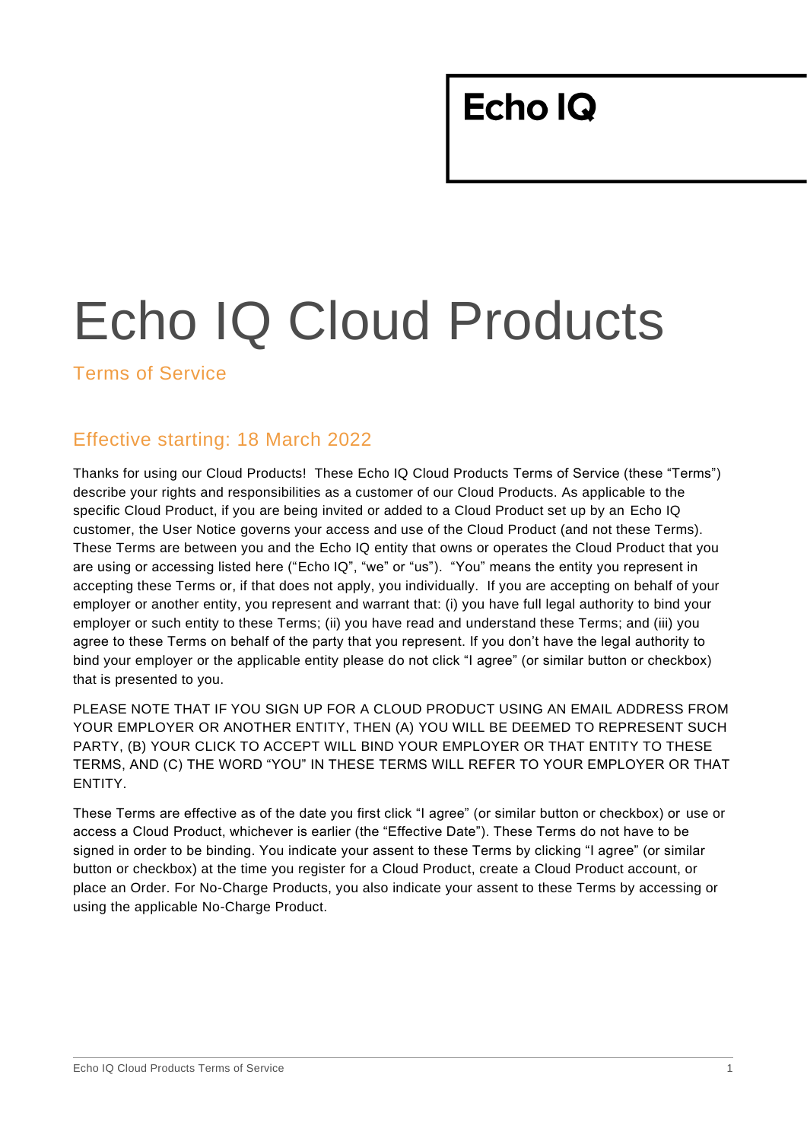# Echo IQ Cloud Products

Terms of Service

#### Effective starting: 18 March 2022

Thanks for using our Cloud Products! These Echo IQ Cloud Products Terms of Service (these "Terms") describe your rights and responsibilities as a customer of our Cloud Products. As applicable to the specific Cloud Product, if you are being invited or added to a Cloud Product set up by an Echo IQ customer, the User Notice governs your access and use of the Cloud Product (and not these Terms). These Terms are between you and the Echo IQ entity that owns or operates the Cloud Product that you are using or accessing listed here ("Echo IQ", "we" or "us"). "You" means the entity you represent in accepting these Terms or, if that does not apply, you individually. If you are accepting on behalf of your employer or another entity, you represent and warrant that: (i) you have full legal authority to bind your employer or such entity to these Terms; (ii) you have read and understand these Terms; and (iii) you agree to these Terms on behalf of the party that you represent. If you don't have the legal authority to bind your employer or the applicable entity please do not click "I agree" (or similar button or checkbox) that is presented to you.

PLEASE NOTE THAT IF YOU SIGN UP FOR A CLOUD PRODUCT USING AN EMAIL ADDRESS FROM YOUR EMPLOYER OR ANOTHER ENTITY, THEN (A) YOU WILL BE DEEMED TO REPRESENT SUCH PARTY, (B) YOUR CLICK TO ACCEPT WILL BIND YOUR EMPLOYER OR THAT ENTITY TO THESE TERMS, AND (C) THE WORD "YOU" IN THESE TERMS WILL REFER TO YOUR EMPLOYER OR THAT ENTITY.

These Terms are effective as of the date you first click "I agree" (or similar button or checkbox) or use or access a Cloud Product, whichever is earlier (the "Effective Date"). These Terms do not have to be signed in order to be binding. You indicate your assent to these Terms by clicking "I agree" (or similar button or checkbox) at the time you register for a Cloud Product, create a Cloud Product account, or place an Order. For No-Charge Products, you also indicate your assent to these Terms by accessing or using the applicable No-Charge Product.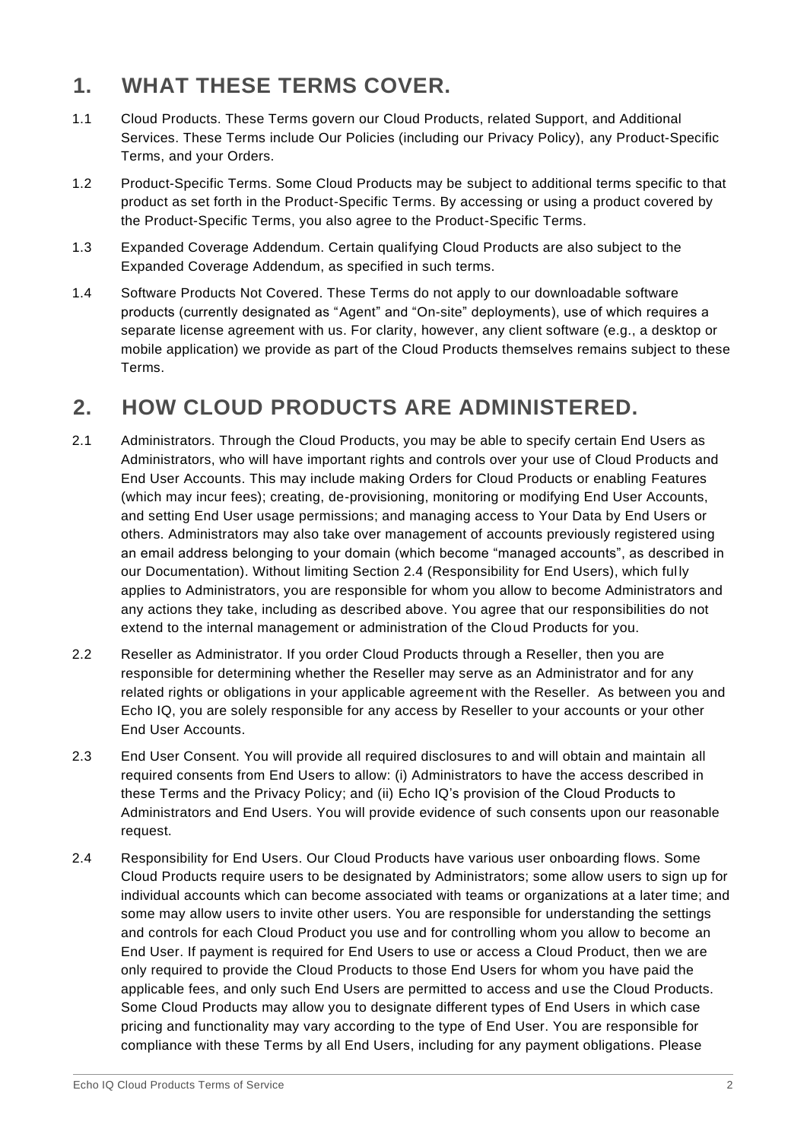#### **1. WHAT THESE TERMS COVER.**

- 1.1 Cloud Products. These Terms govern our Cloud Products, related Support, and Additional Services. These Terms include Our Policies (including our Privacy Policy), any Product-Specific Terms, and your Orders.
- 1.2 Product-Specific Terms. Some Cloud Products may be subject to additional terms specific to that product as set forth in the Product-Specific Terms. By accessing or using a product covered by the Product-Specific Terms, you also agree to the Product-Specific Terms.
- 1.3 Expanded Coverage Addendum. Certain qualifying Cloud Products are also subject to the Expanded Coverage Addendum, as specified in such terms.
- 1.4 Software Products Not Covered. These Terms do not apply to our downloadable software products (currently designated as "Agent" and "On-site" deployments), use of which requires a separate license agreement with us. For clarity, however, any client software (e.g., a desktop or mobile application) we provide as part of the Cloud Products themselves remains subject to these Terms.

## **2. HOW CLOUD PRODUCTS ARE ADMINISTERED.**

- 2.1 Administrators. Through the Cloud Products, you may be able to specify certain End Users as Administrators, who will have important rights and controls over your use of Cloud Products and End User Accounts. This may include making Orders for Cloud Products or enabling Features (which may incur fees); creating, de-provisioning, monitoring or modifying End User Accounts, and setting End User usage permissions; and managing access to Your Data by End Users or others. Administrators may also take over management of accounts previously registered using an email address belonging to your domain (which become "managed accounts", as described in our Documentation). Without limiting Section 2.4 (Responsibility for End Users), which ful ly applies to Administrators, you are responsible for whom you allow to become Administrators and any actions they take, including as described above. You agree that our responsibilities do not extend to the internal management or administration of the Cloud Products for you.
- 2.2 Reseller as Administrator. If you order Cloud Products through a Reseller, then you are responsible for determining whether the Reseller may serve as an Administrator and for any related rights or obligations in your applicable agreement with the Reseller. As between you and Echo IQ, you are solely responsible for any access by Reseller to your accounts or your other End User Accounts.
- 2.3 End User Consent. You will provide all required disclosures to and will obtain and maintain all required consents from End Users to allow: (i) Administrators to have the access described in these Terms and the Privacy Policy; and (ii) Echo IQ's provision of the Cloud Products to Administrators and End Users. You will provide evidence of such consents upon our reasonable request.
- 2.4 Responsibility for End Users. Our Cloud Products have various user onboarding flows. Some Cloud Products require users to be designated by Administrators; some allow users to sign up for individual accounts which can become associated with teams or organizations at a later time; and some may allow users to invite other users. You are responsible for understanding the settings and controls for each Cloud Product you use and for controlling whom you allow to become an End User. If payment is required for End Users to use or access a Cloud Product, then we are only required to provide the Cloud Products to those End Users for whom you have paid the applicable fees, and only such End Users are permitted to access and use the Cloud Products. Some Cloud Products may allow you to designate different types of End Users in which case pricing and functionality may vary according to the type of End User. You are responsible for compliance with these Terms by all End Users, including for any payment obligations. Please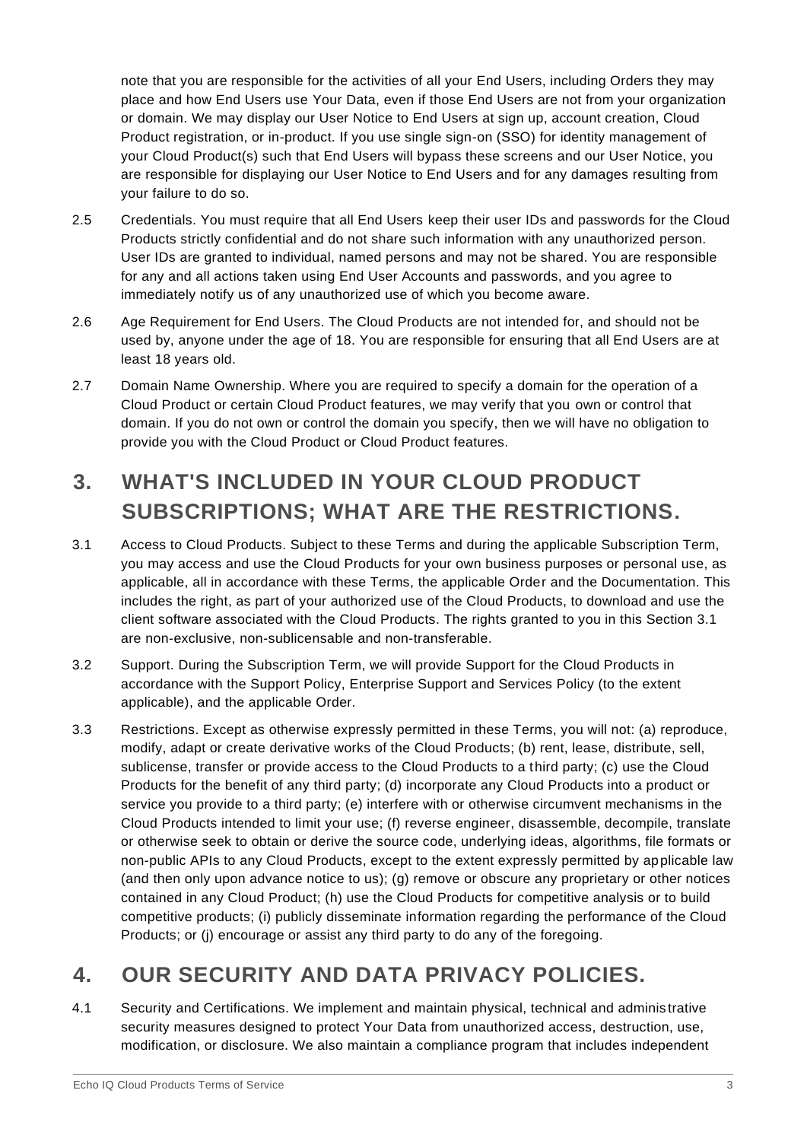note that you are responsible for the activities of all your End Users, including Orders they may place and how End Users use Your Data, even if those End Users are not from your organization or domain. We may display our User Notice to End Users at sign up, account creation, Cloud Product registration, or in-product. If you use single sign-on (SSO) for identity management of your Cloud Product(s) such that End Users will bypass these screens and our User Notice, you are responsible for displaying our User Notice to End Users and for any damages resulting from your failure to do so.

- 2.5 Credentials. You must require that all End Users keep their user IDs and passwords for the Cloud Products strictly confidential and do not share such information with any unauthorized person. User IDs are granted to individual, named persons and may not be shared. You are responsible for any and all actions taken using End User Accounts and passwords, and you agree to immediately notify us of any unauthorized use of which you become aware.
- 2.6 Age Requirement for End Users. The Cloud Products are not intended for, and should not be used by, anyone under the age of 18. You are responsible for ensuring that all End Users are at least 18 years old.
- 2.7 Domain Name Ownership. Where you are required to specify a domain for the operation of a Cloud Product or certain Cloud Product features, we may verify that you own or control that domain. If you do not own or control the domain you specify, then we will have no obligation to provide you with the Cloud Product or Cloud Product features.

# **3. WHAT'S INCLUDED IN YOUR CLOUD PRODUCT SUBSCRIPTIONS; WHAT ARE THE RESTRICTIONS.**

- 3.1 Access to Cloud Products. Subject to these Terms and during the applicable Subscription Term, you may access and use the Cloud Products for your own business purposes or personal use, as applicable, all in accordance with these Terms, the applicable Order and the Documentation. This includes the right, as part of your authorized use of the Cloud Products, to download and use the client software associated with the Cloud Products. The rights granted to you in this Section 3.1 are non-exclusive, non-sublicensable and non-transferable.
- 3.2 Support. During the Subscription Term, we will provide Support for the Cloud Products in accordance with the Support Policy, Enterprise Support and Services Policy (to the extent applicable), and the applicable Order.
- 3.3 Restrictions. Except as otherwise expressly permitted in these Terms, you will not: (a) reproduce, modify, adapt or create derivative works of the Cloud Products; (b) rent, lease, distribute, sell, sublicense, transfer or provide access to the Cloud Products to a third party; (c) use the Cloud Products for the benefit of any third party; (d) incorporate any Cloud Products into a product or service you provide to a third party; (e) interfere with or otherwise circumvent mechanisms in the Cloud Products intended to limit your use; (f) reverse engineer, disassemble, decompile, translate or otherwise seek to obtain or derive the source code, underlying ideas, algorithms, file formats or non-public APIs to any Cloud Products, except to the extent expressly permitted by applicable law (and then only upon advance notice to us); (g) remove or obscure any proprietary or other notices contained in any Cloud Product; (h) use the Cloud Products for competitive analysis or to build competitive products; (i) publicly disseminate information regarding the performance of the Cloud Products; or (j) encourage or assist any third party to do any of the foregoing.

## **4. OUR SECURITY AND DATA PRIVACY POLICIES.**

4.1 Security and Certifications. We implement and maintain physical, technical and adminis trative security measures designed to protect Your Data from unauthorized access, destruction, use, modification, or disclosure. We also maintain a compliance program that includes independent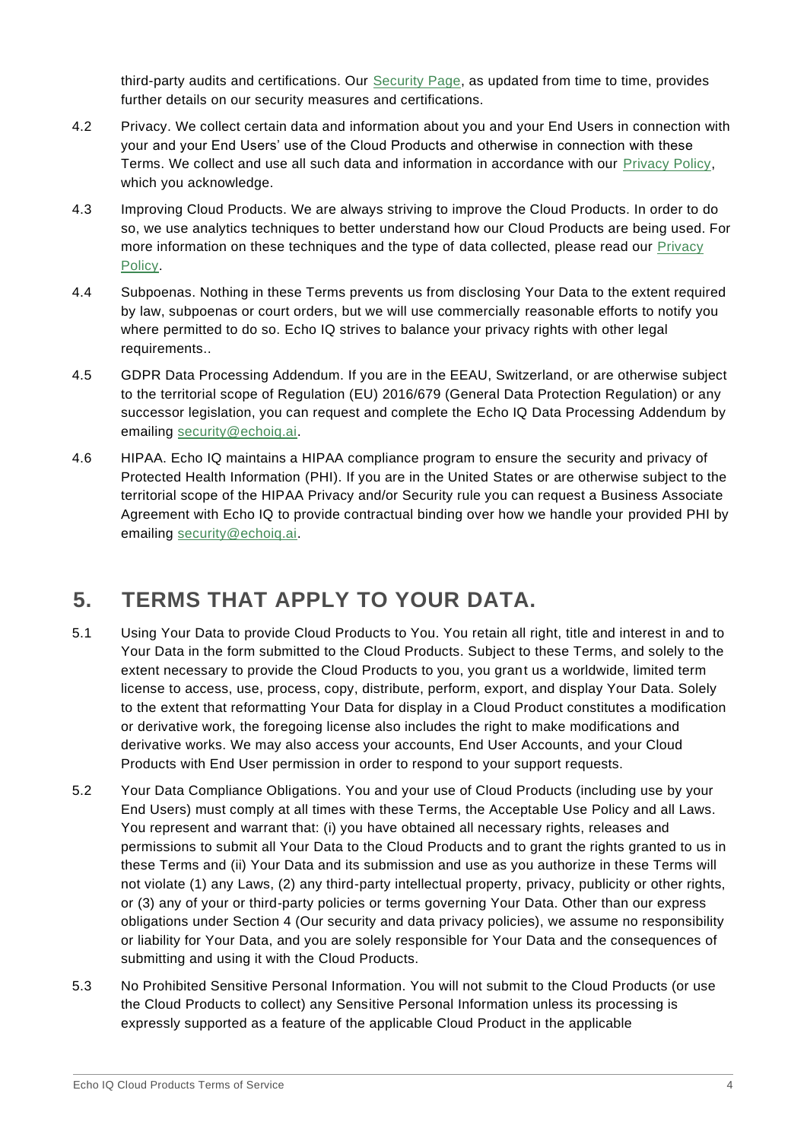third-party audits and certifications. Our **Security Page**, as updated from time to time, provides further details on our security measures and certifications.

- 4.2 Privacy. We collect certain data and information about you and your End Users in connection with your and your End Users' use of the Cloud Products and otherwise in connection with these Terms. We collect and use all such data and information in accordance with our [Privacy Policy,](https://www.echoiq.ai/security/) which you acknowledge.
- 4.3 Improving Cloud Products. We are always striving to improve the Cloud Products. In order to do so, we use analytics techniques to better understand how our Cloud Products are being used. For more information on these techniques and the type of data collected, please read our [Privacy](https://www.echoiq.ai/security/)  [Policy.](https://www.echoiq.ai/security/)
- 4.4 Subpoenas. Nothing in these Terms prevents us from disclosing Your Data to the extent required by law, subpoenas or court orders, but we will use commercially reasonable efforts to notify you where permitted to do so. Echo IQ strives to balance your privacy rights with other legal requirements..
- 4.5 GDPR Data Processing Addendum. If you are in the EEAU, Switzerland, or are otherwise subject to the territorial scope of Regulation (EU) 2016/679 (General Data Protection Regulation) or any successor legislation, you can request and complete the Echo IQ Data Processing Addendum by emailing [security@echoiq.ai.](mailto:security@echoiq.ai)
- 4.6 HIPAA. Echo IQ maintains a HIPAA compliance program to ensure the security and privacy of Protected Health Information (PHI). If you are in the United States or are otherwise subject to the territorial scope of the HIPAA Privacy and/or Security rule you can request a Business Associate Agreement with Echo IQ to provide contractual binding over how we handle your provided PHI by emailing [security@echoiq.ai.](mailto:security@echoiq.ai)

## **5. TERMS THAT APPLY TO YOUR DATA.**

- 5.1 Using Your Data to provide Cloud Products to You. You retain all right, title and interest in and to Your Data in the form submitted to the Cloud Products. Subject to these Terms, and solely to the extent necessary to provide the Cloud Products to you, you grant us a worldwide, limited term license to access, use, process, copy, distribute, perform, export, and display Your Data. Solely to the extent that reformatting Your Data for display in a Cloud Product constitutes a modification or derivative work, the foregoing license also includes the right to make modifications and derivative works. We may also access your accounts, End User Accounts, and your Cloud Products with End User permission in order to respond to your support requests.
- 5.2 Your Data Compliance Obligations. You and your use of Cloud Products (including use by your End Users) must comply at all times with these Terms, the Acceptable Use Policy and all Laws. You represent and warrant that: (i) you have obtained all necessary rights, releases and permissions to submit all Your Data to the Cloud Products and to grant the rights granted to us in these Terms and (ii) Your Data and its submission and use as you authorize in these Terms will not violate (1) any Laws, (2) any third-party intellectual property, privacy, publicity or other rights, or (3) any of your or third-party policies or terms governing Your Data. Other than our express obligations under Section 4 (Our security and data privacy policies), we assume no responsibility or liability for Your Data, and you are solely responsible for Your Data and the consequences of submitting and using it with the Cloud Products.
- 5.3 No Prohibited Sensitive Personal Information. You will not submit to the Cloud Products (or use the Cloud Products to collect) any Sensitive Personal Information unless its processing is expressly supported as a feature of the applicable Cloud Product in the applicable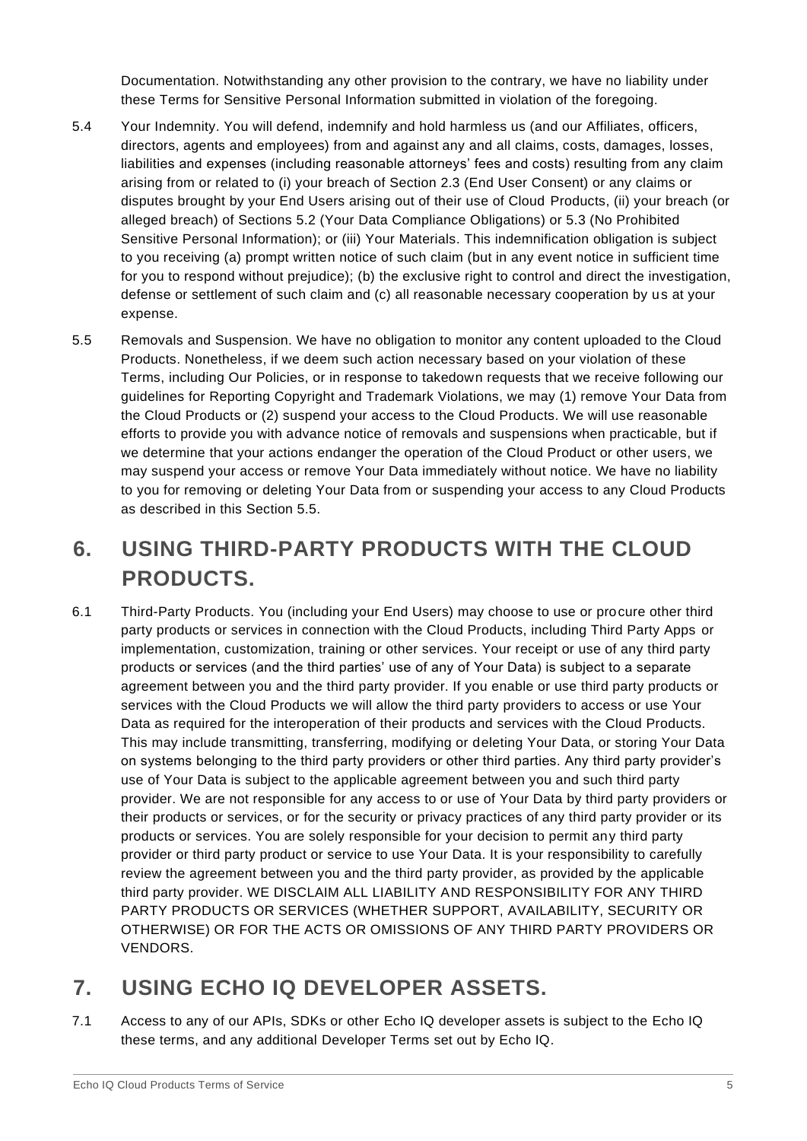Documentation. Notwithstanding any other provision to the contrary, we have no liability under these Terms for Sensitive Personal Information submitted in violation of the foregoing.

- 5.4 Your Indemnity. You will defend, indemnify and hold harmless us (and our Affiliates, officers, directors, agents and employees) from and against any and all claims, costs, damages, losses, liabilities and expenses (including reasonable attorneys' fees and costs) resulting from any claim arising from or related to (i) your breach of Section 2.3 (End User Consent) or any claims or disputes brought by your End Users arising out of their use of Cloud Products, (ii) your breach (or alleged breach) of Sections 5.2 (Your Data Compliance Obligations) or 5.3 (No Prohibited Sensitive Personal Information); or (iii) Your Materials. This indemnification obligation is subject to you receiving (a) prompt written notice of such claim (but in any event notice in sufficient time for you to respond without prejudice); (b) the exclusive right to control and direct the investigation, defense or settlement of such claim and (c) all reasonable necessary cooperation by us at your expense.
- 5.5 Removals and Suspension. We have no obligation to monitor any content uploaded to the Cloud Products. Nonetheless, if we deem such action necessary based on your violation of these Terms, including Our Policies, or in response to takedown requests that we receive following our guidelines for Reporting Copyright and Trademark Violations, we may (1) remove Your Data from the Cloud Products or (2) suspend your access to the Cloud Products. We will use reasonable efforts to provide you with advance notice of removals and suspensions when practicable, but if we determine that your actions endanger the operation of the Cloud Product or other users, we may suspend your access or remove Your Data immediately without notice. We have no liability to you for removing or deleting Your Data from or suspending your access to any Cloud Products as described in this Section 5.5.

## **6. USING THIRD-PARTY PRODUCTS WITH THE CLOUD PRODUCTS.**

6.1 Third-Party Products. You (including your End Users) may choose to use or procure other third party products or services in connection with the Cloud Products, including Third Party Apps or implementation, customization, training or other services. Your receipt or use of any third party products or services (and the third parties' use of any of Your Data) is subject to a separate agreement between you and the third party provider. If you enable or use third party products or services with the Cloud Products we will allow the third party providers to access or use Your Data as required for the interoperation of their products and services with the Cloud Products. This may include transmitting, transferring, modifying or deleting Your Data, or storing Your Data on systems belonging to the third party providers or other third parties. Any third party provider's use of Your Data is subject to the applicable agreement between you and such third party provider. We are not responsible for any access to or use of Your Data by third party providers or their products or services, or for the security or privacy practices of any third party provider or its products or services. You are solely responsible for your decision to permit any third party provider or third party product or service to use Your Data. It is your responsibility to carefully review the agreement between you and the third party provider, as provided by the applicable third party provider. WE DISCLAIM ALL LIABILITY AND RESPONSIBILITY FOR ANY THIRD PARTY PRODUCTS OR SERVICES (WHETHER SUPPORT, AVAILABILITY, SECURITY OR OTHERWISE) OR FOR THE ACTS OR OMISSIONS OF ANY THIRD PARTY PROVIDERS OR VENDORS.

#### **7. USING ECHO IQ DEVELOPER ASSETS.**

7.1 Access to any of our APIs, SDKs or other Echo IQ developer assets is subject to the Echo IQ these terms, and any additional Developer Terms set out by Echo IQ.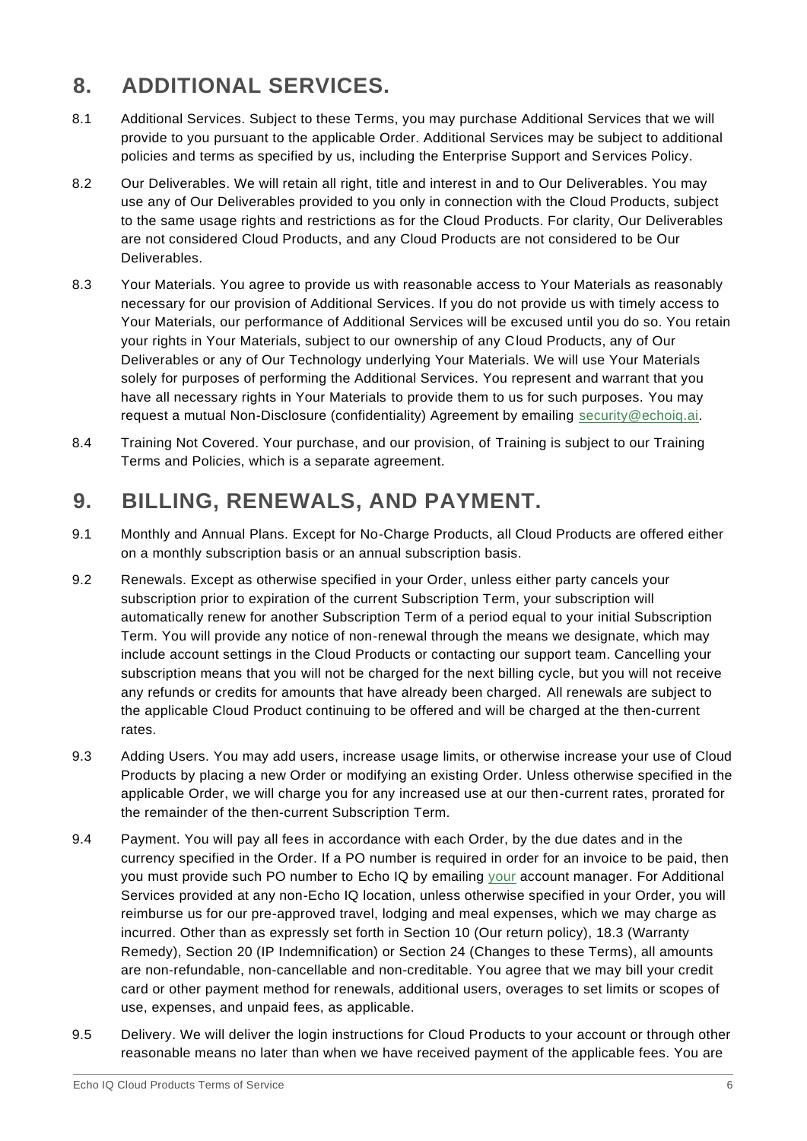#### **8. ADDITIONAL SERVICES.**

- 8.1 Additional Services. Subject to these Terms, you may purchase Additional Services that we will provide to you pursuant to the applicable Order. Additional Services may be subject to additional policies and terms as specified by us, including the Enterprise Support and Services Policy.
- 8.2 Our Deliverables. We will retain all right, title and interest in and to Our Deliverables. You may use any of Our Deliverables provided to you only in connection with the Cloud Products, subject to the same usage rights and restrictions as for the Cloud Products. For clarity, Our Deliverables are not considered Cloud Products, and any Cloud Products are not considered to be Our Deliverables.
- 8.3 Your Materials. You agree to provide us with reasonable access to Your Materials as reasonably necessary for our provision of Additional Services. If you do not provide us with timely access to Your Materials, our performance of Additional Services will be excused until you do so. You retain your rights in Your Materials, subject to our ownership of any Cloud Products, any of Our Deliverables or any of Our Technology underlying Your Materials. We will use Your Materials solely for purposes of performing the Additional Services. You represent and warrant that you have all necessary rights in Your Materials to provide them to us for such purposes. You may request a mutual Non-Disclosure (confidentiality) Agreement by emailing [security@echoiq.ai.](mailto:security@echoiq.ai)
- 8.4 Training Not Covered. Your purchase, and our provision, of Training is subject to our Training Terms and Policies, which is a separate agreement.

#### **9. BILLING, RENEWALS, AND PAYMENT.**

- 9.1 Monthly and Annual Plans. Except for No-Charge Products, all Cloud Products are offered either on a monthly subscription basis or an annual subscription basis.
- 9.2 Renewals. Except as otherwise specified in your Order, unless either party cancels your subscription prior to expiration of the current Subscription Term, your subscription will automatically renew for another Subscription Term of a period equal to your initial Subscription Term. You will provide any notice of non-renewal through the means we designate, which may include account settings in the Cloud Products or contacting our support team. Cancelling your subscription means that you will not be charged for the next billing cycle, but you will not receive any refunds or credits for amounts that have already been charged. All renewals are subject to the applicable Cloud Product continuing to be offered and will be charged at the then-current rates.
- 9.3 Adding Users. You may add users, increase usage limits, or otherwise increase your use of Cloud Products by placing a new Order or modifying an existing Order. Unless otherwise specified in the applicable Order, we will charge you for any increased use at our then-current rates, prorated for the remainder of the then-current Subscription Term.
- 9.4 Payment. You will pay all fees in accordance with each Order, by the due dates and in the currency specified in the Order. If a PO number is required in order for an invoice to be paid, then you must provide such PO number to Echo IQ by emailing [your](mailto:your) account manager. For Additional Services provided at any non-Echo IQ location, unless otherwise specified in your Order, you will reimburse us for our pre-approved travel, lodging and meal expenses, which we may charge as incurred. Other than as expressly set forth in Section 10 (Our return policy), 18.3 (Warranty Remedy), Section 20 (IP Indemnification) or Section 24 (Changes to these Terms), all amounts are non-refundable, non-cancellable and non-creditable. You agree that we may bill your credit card or other payment method for renewals, additional users, overages to set limits or scopes of use, expenses, and unpaid fees, as applicable.
- 9.5 Delivery. We will deliver the login instructions for Cloud Products to your account or through other reasonable means no later than when we have received payment of the applicable fees. You are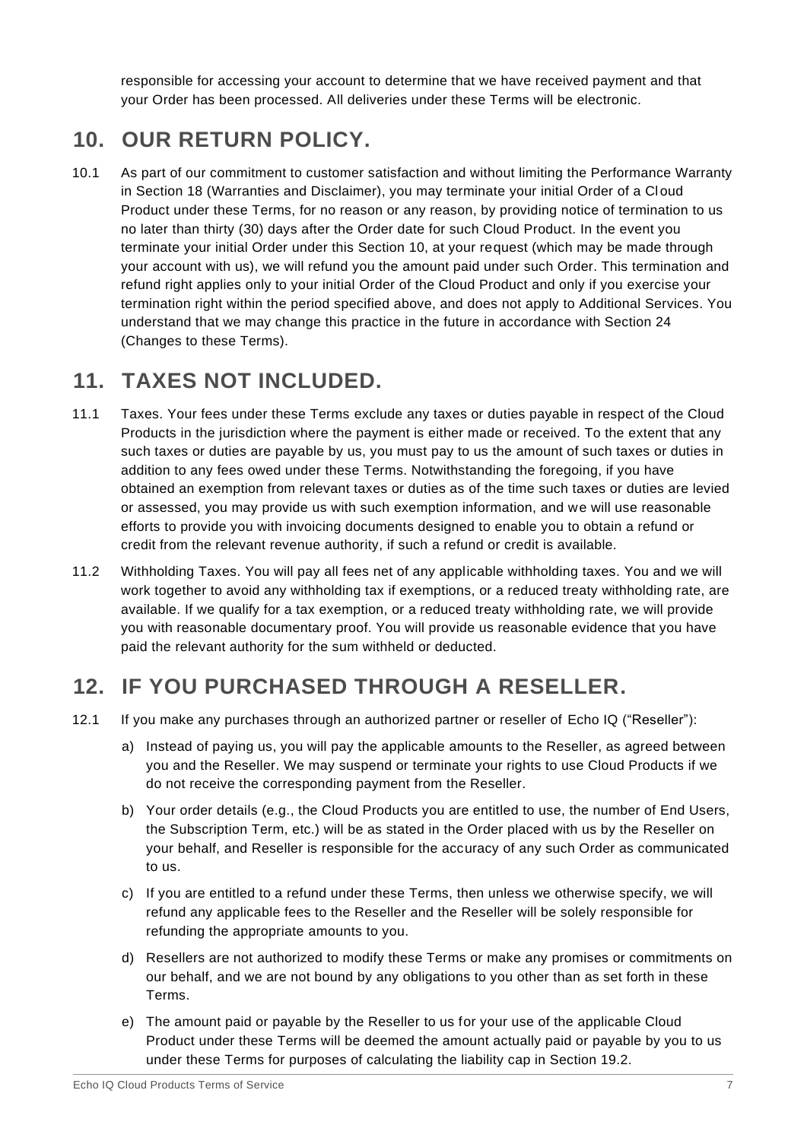responsible for accessing your account to determine that we have received payment and that your Order has been processed. All deliveries under these Terms will be electronic.

#### **10. OUR RETURN POLICY.**

10.1 As part of our commitment to customer satisfaction and without limiting the Performance Warranty in Section 18 (Warranties and Disclaimer), you may terminate your initial Order of a Cloud Product under these Terms, for no reason or any reason, by providing notice of termination to us no later than thirty (30) days after the Order date for such Cloud Product. In the event you terminate your initial Order under this Section 10, at your request (which may be made through your account with us), we will refund you the amount paid under such Order. This termination and refund right applies only to your initial Order of the Cloud Product and only if you exercise your termination right within the period specified above, and does not apply to Additional Services. You understand that we may change this practice in the future in accordance with Section 24 (Changes to these Terms).

#### **11. TAXES NOT INCLUDED.**

- 11.1 Taxes. Your fees under these Terms exclude any taxes or duties payable in respect of the Cloud Products in the jurisdiction where the payment is either made or received. To the extent that any such taxes or duties are payable by us, you must pay to us the amount of such taxes or duties in addition to any fees owed under these Terms. Notwithstanding the foregoing, if you have obtained an exemption from relevant taxes or duties as of the time such taxes or duties are levied or assessed, you may provide us with such exemption information, and we will use reasonable efforts to provide you with invoicing documents designed to enable you to obtain a refund or credit from the relevant revenue authority, if such a refund or credit is available.
- 11.2 Withholding Taxes. You will pay all fees net of any applicable withholding taxes. You and we will work together to avoid any withholding tax if exemptions, or a reduced treaty withholding rate, are available. If we qualify for a tax exemption, or a reduced treaty withholding rate, we will provide you with reasonable documentary proof. You will provide us reasonable evidence that you have paid the relevant authority for the sum withheld or deducted.

#### **12. IF YOU PURCHASED THROUGH A RESELLER.**

- 12.1 If you make any purchases through an authorized partner or reseller of Echo IQ ("Reseller"):
	- a) Instead of paying us, you will pay the applicable amounts to the Reseller, as agreed between you and the Reseller. We may suspend or terminate your rights to use Cloud Products if we do not receive the corresponding payment from the Reseller.
	- b) Your order details (e.g., the Cloud Products you are entitled to use, the number of End Users, the Subscription Term, etc.) will be as stated in the Order placed with us by the Reseller on your behalf, and Reseller is responsible for the accuracy of any such Order as communicated to us.
	- c) If you are entitled to a refund under these Terms, then unless we otherwise specify, we will refund any applicable fees to the Reseller and the Reseller will be solely responsible for refunding the appropriate amounts to you.
	- d) Resellers are not authorized to modify these Terms or make any promises or commitments on our behalf, and we are not bound by any obligations to you other than as set forth in these Terms.
	- e) The amount paid or payable by the Reseller to us for your use of the applicable Cloud Product under these Terms will be deemed the amount actually paid or payable by you to us under these Terms for purposes of calculating the liability cap in Section 19.2.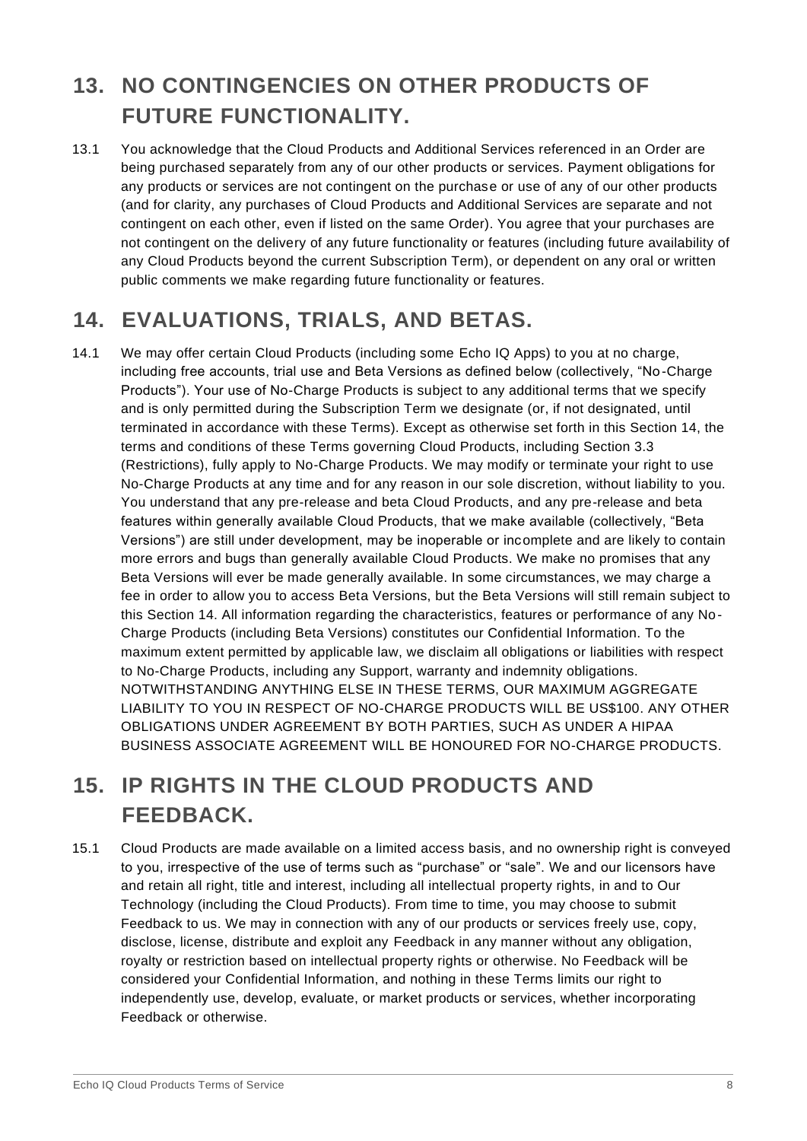## **13. NO CONTINGENCIES ON OTHER PRODUCTS OF FUTURE FUNCTIONALITY.**

13.1 You acknowledge that the Cloud Products and Additional Services referenced in an Order are being purchased separately from any of our other products or services. Payment obligations for any products or services are not contingent on the purchase or use of any of our other products (and for clarity, any purchases of Cloud Products and Additional Services are separate and not contingent on each other, even if listed on the same Order). You agree that your purchases are not contingent on the delivery of any future functionality or features (including future availability of any Cloud Products beyond the current Subscription Term), or dependent on any oral or written public comments we make regarding future functionality or features.

## **14. EVALUATIONS, TRIALS, AND BETAS.**

14.1 We may offer certain Cloud Products (including some Echo IQ Apps) to you at no charge, including free accounts, trial use and Beta Versions as defined below (collectively, "No-Charge Products"). Your use of No-Charge Products is subject to any additional terms that we specify and is only permitted during the Subscription Term we designate (or, if not designated, until terminated in accordance with these Terms). Except as otherwise set forth in this Section 14, the terms and conditions of these Terms governing Cloud Products, including Section 3.3 (Restrictions), fully apply to No-Charge Products. We may modify or terminate your right to use No-Charge Products at any time and for any reason in our sole discretion, without liability to you. You understand that any pre-release and beta Cloud Products, and any pre-release and beta features within generally available Cloud Products, that we make available (collectively, "Beta Versions") are still under development, may be inoperable or incomplete and are likely to contain more errors and bugs than generally available Cloud Products. We make no promises that any Beta Versions will ever be made generally available. In some circumstances, we may charge a fee in order to allow you to access Beta Versions, but the Beta Versions will still remain subject to this Section 14. All information regarding the characteristics, features or performance of any No-Charge Products (including Beta Versions) constitutes our Confidential Information. To the maximum extent permitted by applicable law, we disclaim all obligations or liabilities with respect to No-Charge Products, including any Support, warranty and indemnity obligations. NOTWITHSTANDING ANYTHING ELSE IN THESE TERMS, OUR MAXIMUM AGGREGATE LIABILITY TO YOU IN RESPECT OF NO-CHARGE PRODUCTS WILL BE US\$100. ANY OTHER OBLIGATIONS UNDER AGREEMENT BY BOTH PARTIES, SUCH AS UNDER A HIPAA BUSINESS ASSOCIATE AGREEMENT WILL BE HONOURED FOR NO-CHARGE PRODUCTS.

## **15. IP RIGHTS IN THE CLOUD PRODUCTS AND FEEDBACK.**

15.1 Cloud Products are made available on a limited access basis, and no ownership right is conveyed to you, irrespective of the use of terms such as "purchase" or "sale". We and our licensors have and retain all right, title and interest, including all intellectual property rights, in and to Our Technology (including the Cloud Products). From time to time, you may choose to submit Feedback to us. We may in connection with any of our products or services freely use, copy, disclose, license, distribute and exploit any Feedback in any manner without any obligation, royalty or restriction based on intellectual property rights or otherwise. No Feedback will be considered your Confidential Information, and nothing in these Terms limits our right to independently use, develop, evaluate, or market products or services, whether incorporating Feedback or otherwise.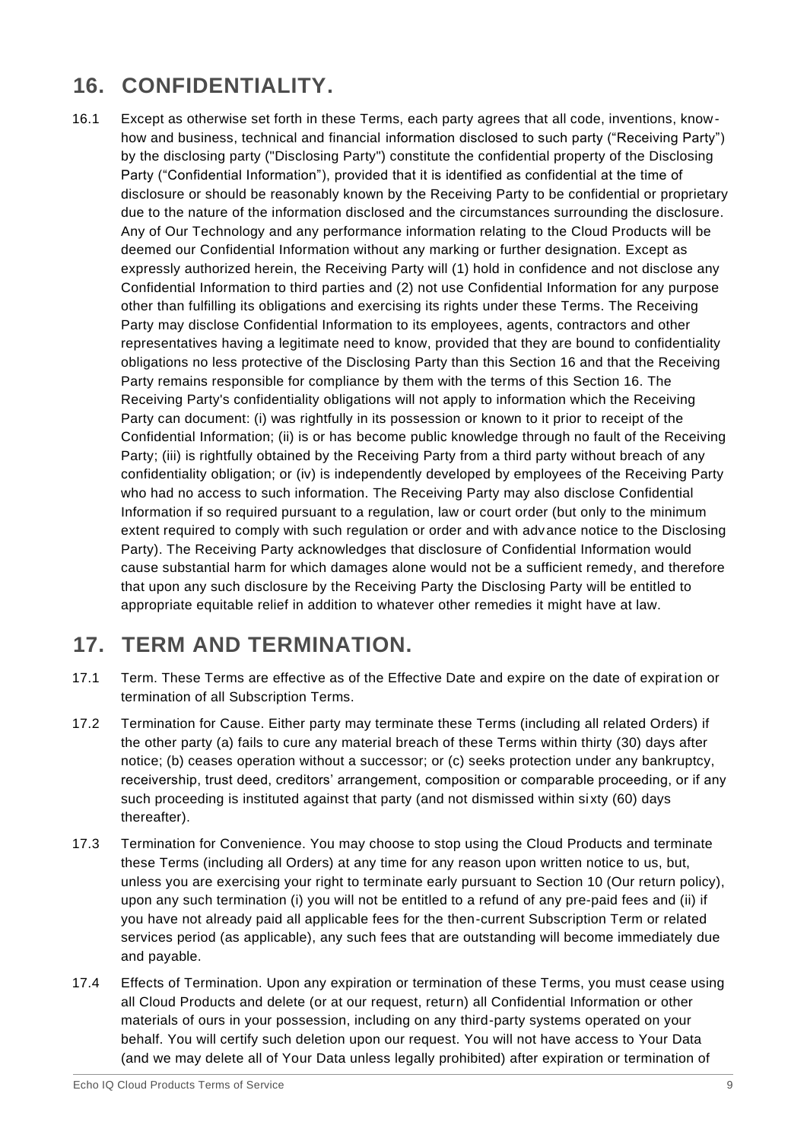## **16. CONFIDENTIALITY.**

16.1 Except as otherwise set forth in these Terms, each party agrees that all code, inventions, knowhow and business, technical and financial information disclosed to such party ("Receiving Party") by the disclosing party ("Disclosing Party") constitute the confidential property of the Disclosing Party ("Confidential Information"), provided that it is identified as confidential at the time of disclosure or should be reasonably known by the Receiving Party to be confidential or proprietary due to the nature of the information disclosed and the circumstances surrounding the disclosure. Any of Our Technology and any performance information relating to the Cloud Products will be deemed our Confidential Information without any marking or further designation. Except as expressly authorized herein, the Receiving Party will (1) hold in confidence and not disclose any Confidential Information to third parties and (2) not use Confidential Information for any purpose other than fulfilling its obligations and exercising its rights under these Terms. The Receiving Party may disclose Confidential Information to its employees, agents, contractors and other representatives having a legitimate need to know, provided that they are bound to confidentiality obligations no less protective of the Disclosing Party than this Section 16 and that the Receiving Party remains responsible for compliance by them with the terms of this Section 16. The Receiving Party's confidentiality obligations will not apply to information which the Receiving Party can document: (i) was rightfully in its possession or known to it prior to receipt of the Confidential Information; (ii) is or has become public knowledge through no fault of the Receiving Party; (iii) is rightfully obtained by the Receiving Party from a third party without breach of any confidentiality obligation; or (iv) is independently developed by employees of the Receiving Party who had no access to such information. The Receiving Party may also disclose Confidential Information if so required pursuant to a regulation, law or court order (but only to the minimum extent required to comply with such regulation or order and with advance notice to the Disclosing Party). The Receiving Party acknowledges that disclosure of Confidential Information would cause substantial harm for which damages alone would not be a sufficient remedy, and therefore that upon any such disclosure by the Receiving Party the Disclosing Party will be entitled to appropriate equitable relief in addition to whatever other remedies it might have at law.

#### **17. TERM AND TERMINATION.**

- 17.1 Term. These Terms are effective as of the Effective Date and expire on the date of expiration or termination of all Subscription Terms.
- 17.2 Termination for Cause. Either party may terminate these Terms (including all related Orders) if the other party (a) fails to cure any material breach of these Terms within thirty (30) days after notice; (b) ceases operation without a successor; or (c) seeks protection under any bankruptcy, receivership, trust deed, creditors' arrangement, composition or comparable proceeding, or if any such proceeding is instituted against that party (and not dismissed within sixty (60) days thereafter).
- 17.3 Termination for Convenience. You may choose to stop using the Cloud Products and terminate these Terms (including all Orders) at any time for any reason upon written notice to us, but, unless you are exercising your right to terminate early pursuant to Section 10 (Our return policy), upon any such termination (i) you will not be entitled to a refund of any pre-paid fees and (ii) if you have not already paid all applicable fees for the then-current Subscription Term or related services period (as applicable), any such fees that are outstanding will become immediately due and payable.
- 17.4 Effects of Termination. Upon any expiration or termination of these Terms, you must cease using all Cloud Products and delete (or at our request, return) all Confidential Information or other materials of ours in your possession, including on any third-party systems operated on your behalf. You will certify such deletion upon our request. You will not have access to Your Data (and we may delete all of Your Data unless legally prohibited) after expiration or termination of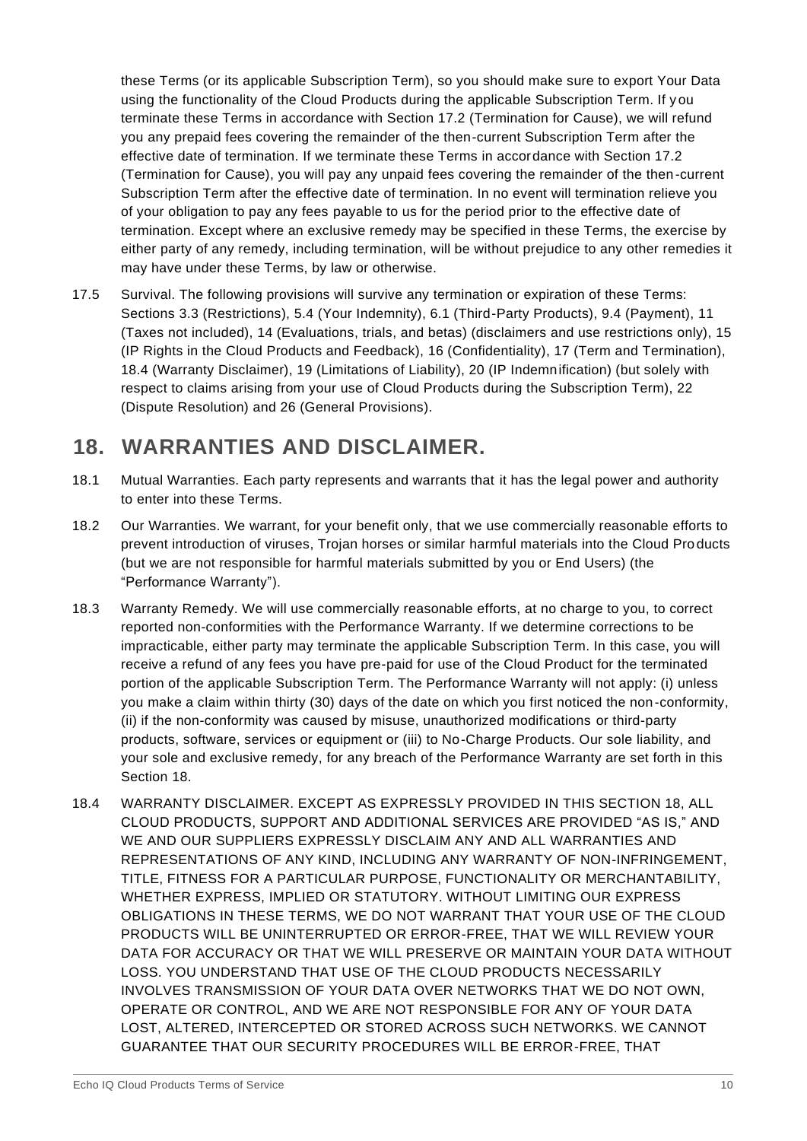these Terms (or its applicable Subscription Term), so you should make sure to export Your Data using the functionality of the Cloud Products during the applicable Subscription Term. If y ou terminate these Terms in accordance with Section 17.2 (Termination for Cause), we will refund you any prepaid fees covering the remainder of the then-current Subscription Term after the effective date of termination. If we terminate these Terms in accordance with Section 17.2 (Termination for Cause), you will pay any unpaid fees covering the remainder of the then-current Subscription Term after the effective date of termination. In no event will termination relieve you of your obligation to pay any fees payable to us for the period prior to the effective date of termination. Except where an exclusive remedy may be specified in these Terms, the exercise by either party of any remedy, including termination, will be without prejudice to any other remedies it may have under these Terms, by law or otherwise.

17.5 Survival. The following provisions will survive any termination or expiration of these Terms: Sections 3.3 (Restrictions), 5.4 (Your Indemnity), 6.1 (Third-Party Products), 9.4 (Payment), 11 (Taxes not included), 14 (Evaluations, trials, and betas) (disclaimers and use restrictions only), 15 (IP Rights in the Cloud Products and Feedback), 16 (Confidentiality), 17 (Term and Termination), 18.4 (Warranty Disclaimer), 19 (Limitations of Liability), 20 (IP Indemnification) (but solely with respect to claims arising from your use of Cloud Products during the Subscription Term), 22 (Dispute Resolution) and 26 (General Provisions).

#### **18. WARRANTIES AND DISCLAIMER.**

- 18.1 Mutual Warranties. Each party represents and warrants that it has the legal power and authority to enter into these Terms.
- 18.2 Our Warranties. We warrant, for your benefit only, that we use commercially reasonable efforts to prevent introduction of viruses, Trojan horses or similar harmful materials into the Cloud Pro ducts (but we are not responsible for harmful materials submitted by you or End Users) (the "Performance Warranty").
- 18.3 Warranty Remedy. We will use commercially reasonable efforts, at no charge to you, to correct reported non-conformities with the Performance Warranty. If we determine corrections to be impracticable, either party may terminate the applicable Subscription Term. In this case, you will receive a refund of any fees you have pre-paid for use of the Cloud Product for the terminated portion of the applicable Subscription Term. The Performance Warranty will not apply: (i) unless you make a claim within thirty (30) days of the date on which you first noticed the non-conformity, (ii) if the non-conformity was caused by misuse, unauthorized modifications or third-party products, software, services or equipment or (iii) to No-Charge Products. Our sole liability, and your sole and exclusive remedy, for any breach of the Performance Warranty are set forth in this Section 18.
- 18.4 WARRANTY DISCLAIMER. EXCEPT AS EXPRESSLY PROVIDED IN THIS SECTION 18, ALL CLOUD PRODUCTS, SUPPORT AND ADDITIONAL SERVICES ARE PROVIDED "AS IS," AND WE AND OUR SUPPLIERS EXPRESSLY DISCLAIM ANY AND ALL WARRANTIES AND REPRESENTATIONS OF ANY KIND, INCLUDING ANY WARRANTY OF NON-INFRINGEMENT, TITLE, FITNESS FOR A PARTICULAR PURPOSE, FUNCTIONALITY OR MERCHANTABILITY, WHETHER EXPRESS, IMPLIED OR STATUTORY. WITHOUT LIMITING OUR EXPRESS OBLIGATIONS IN THESE TERMS, WE DO NOT WARRANT THAT YOUR USE OF THE CLOUD PRODUCTS WILL BE UNINTERRUPTED OR ERROR-FREE, THAT WE WILL REVIEW YOUR DATA FOR ACCURACY OR THAT WE WILL PRESERVE OR MAINTAIN YOUR DATA WITHOUT LOSS. YOU UNDERSTAND THAT USE OF THE CLOUD PRODUCTS NECESSARILY INVOLVES TRANSMISSION OF YOUR DATA OVER NETWORKS THAT WE DO NOT OWN, OPERATE OR CONTROL, AND WE ARE NOT RESPONSIBLE FOR ANY OF YOUR DATA LOST, ALTERED, INTERCEPTED OR STORED ACROSS SUCH NETWORKS. WE CANNOT GUARANTEE THAT OUR SECURITY PROCEDURES WILL BE ERROR-FREE, THAT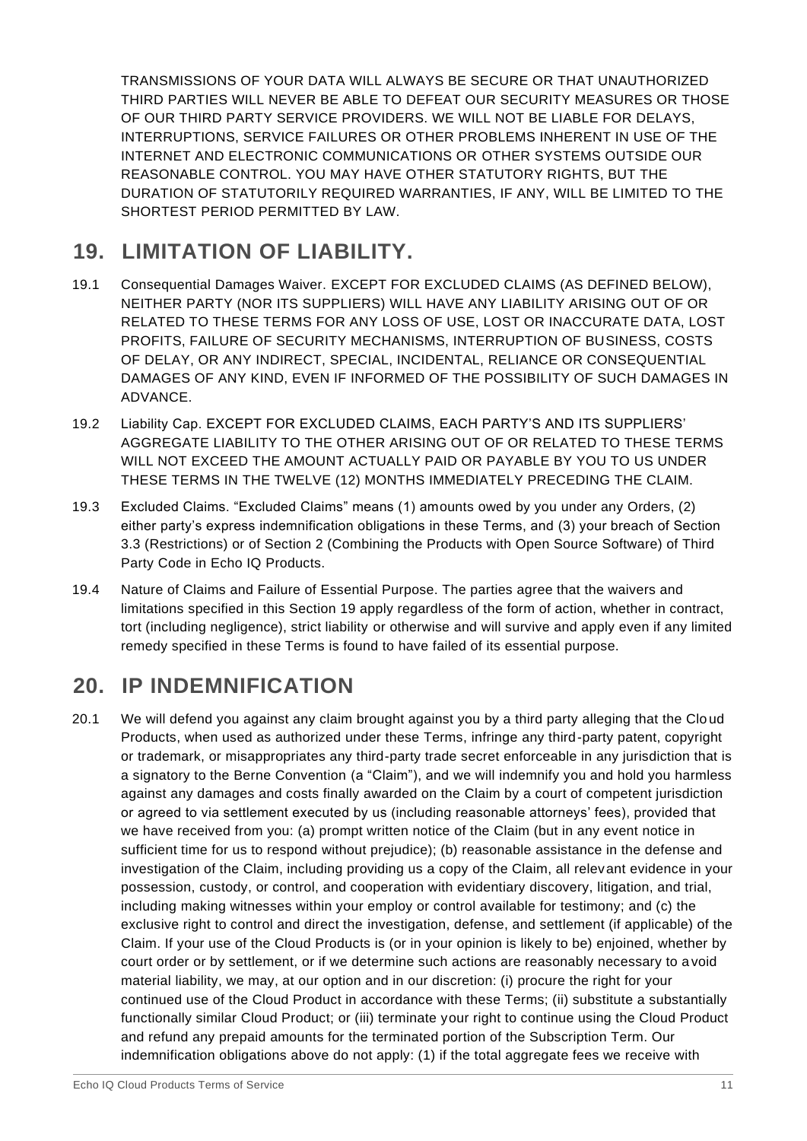TRANSMISSIONS OF YOUR DATA WILL ALWAYS BE SECURE OR THAT UNAUTHORIZED THIRD PARTIES WILL NEVER BE ABLE TO DEFEAT OUR SECURITY MEASURES OR THOSE OF OUR THIRD PARTY SERVICE PROVIDERS. WE WILL NOT BE LIABLE FOR DELAYS, INTERRUPTIONS, SERVICE FAILURES OR OTHER PROBLEMS INHERENT IN USE OF THE INTERNET AND ELECTRONIC COMMUNICATIONS OR OTHER SYSTEMS OUTSIDE OUR REASONABLE CONTROL. YOU MAY HAVE OTHER STATUTORY RIGHTS, BUT THE DURATION OF STATUTORILY REQUIRED WARRANTIES, IF ANY, WILL BE LIMITED TO THE SHORTEST PERIOD PERMITTED BY LAW.

## **19. LIMITATION OF LIABILITY.**

- 19.1 Consequential Damages Waiver. EXCEPT FOR EXCLUDED CLAIMS (AS DEFINED BELOW), NEITHER PARTY (NOR ITS SUPPLIERS) WILL HAVE ANY LIABILITY ARISING OUT OF OR RELATED TO THESE TERMS FOR ANY LOSS OF USE, LOST OR INACCURATE DATA, LOST PROFITS, FAILURE OF SECURITY MECHANISMS, INTERRUPTION OF BUSINESS, COSTS OF DELAY, OR ANY INDIRECT, SPECIAL, INCIDENTAL, RELIANCE OR CONSEQUENTIAL DAMAGES OF ANY KIND, EVEN IF INFORMED OF THE POSSIBILITY OF SUCH DAMAGES IN ADVANCE.
- 19.2 Liability Cap. EXCEPT FOR EXCLUDED CLAIMS, EACH PARTY'S AND ITS SUPPLIERS' AGGREGATE LIABILITY TO THE OTHER ARISING OUT OF OR RELATED TO THESE TERMS WILL NOT EXCEED THE AMOUNT ACTUALLY PAID OR PAYABLE BY YOU TO US UNDER THESE TERMS IN THE TWELVE (12) MONTHS IMMEDIATELY PRECEDING THE CLAIM.
- 19.3 Excluded Claims. "Excluded Claims" means (1) amounts owed by you under any Orders, (2) either party's express indemnification obligations in these Terms, and (3) your breach of Section 3.3 (Restrictions) or of Section 2 (Combining the Products with Open Source Software) of Third Party Code in Echo IQ Products.
- 19.4 Nature of Claims and Failure of Essential Purpose. The parties agree that the waivers and limitations specified in this Section 19 apply regardless of the form of action, whether in contract, tort (including negligence), strict liability or otherwise and will survive and apply even if any limited remedy specified in these Terms is found to have failed of its essential purpose.

#### **20. IP INDEMNIFICATION**

20.1 We will defend you against any claim brought against you by a third party alleging that the Clo ud Products, when used as authorized under these Terms, infringe any third-party patent, copyright or trademark, or misappropriates any third-party trade secret enforceable in any jurisdiction that is a signatory to the Berne Convention (a "Claim"), and we will indemnify you and hold you harmless against any damages and costs finally awarded on the Claim by a court of competent jurisdiction or agreed to via settlement executed by us (including reasonable attorneys' fees), provided that we have received from you: (a) prompt written notice of the Claim (but in any event notice in sufficient time for us to respond without prejudice); (b) reasonable assistance in the defense and investigation of the Claim, including providing us a copy of the Claim, all relevant evidence in your possession, custody, or control, and cooperation with evidentiary discovery, litigation, and trial, including making witnesses within your employ or control available for testimony; and (c) the exclusive right to control and direct the investigation, defense, and settlement (if applicable) of the Claim. If your use of the Cloud Products is (or in your opinion is likely to be) enjoined, whether by court order or by settlement, or if we determine such actions are reasonably necessary to a void material liability, we may, at our option and in our discretion: (i) procure the right for your continued use of the Cloud Product in accordance with these Terms; (ii) substitute a substantially functionally similar Cloud Product; or (iii) terminate your right to continue using the Cloud Product and refund any prepaid amounts for the terminated portion of the Subscription Term. Our indemnification obligations above do not apply: (1) if the total aggregate fees we receive with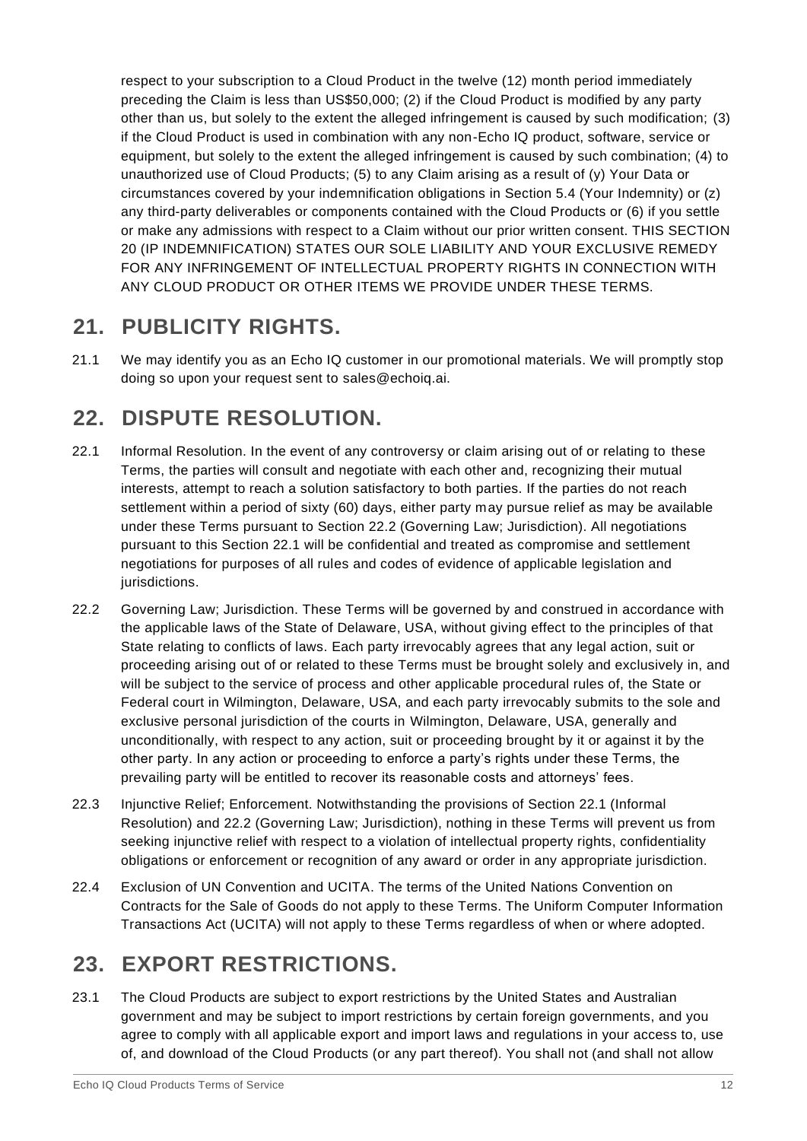respect to your subscription to a Cloud Product in the twelve (12) month period immediately preceding the Claim is less than US\$50,000; (2) if the Cloud Product is modified by any party other than us, but solely to the extent the alleged infringement is caused by such modification; (3) if the Cloud Product is used in combination with any non-Echo IQ product, software, service or equipment, but solely to the extent the alleged infringement is caused by such combination; (4) to unauthorized use of Cloud Products; (5) to any Claim arising as a result of (y) Your Data or circumstances covered by your indemnification obligations in Section 5.4 (Your Indemnity) or (z) any third-party deliverables or components contained with the Cloud Products or (6) if you settle or make any admissions with respect to a Claim without our prior written consent. THIS SECTION 20 (IP INDEMNIFICATION) STATES OUR SOLE LIABILITY AND YOUR EXCLUSIVE REMEDY FOR ANY INFRINGEMENT OF INTELLECTUAL PROPERTY RIGHTS IN CONNECTION WITH ANY CLOUD PRODUCT OR OTHER ITEMS WE PROVIDE UNDER THESE TERMS.

## **21. PUBLICITY RIGHTS.**

21.1 We may identify you as an Echo IQ customer in our promotional materials. We will promptly stop doing so upon your request sent to sales@echoiq.ai.

## **22. DISPUTE RESOLUTION.**

- 22.1 Informal Resolution. In the event of any controversy or claim arising out of or relating to these Terms, the parties will consult and negotiate with each other and, recognizing their mutual interests, attempt to reach a solution satisfactory to both parties. If the parties do not reach settlement within a period of sixty (60) days, either party may pursue relief as may be available under these Terms pursuant to Section 22.2 (Governing Law; Jurisdiction). All negotiations pursuant to this Section 22.1 will be confidential and treated as compromise and settlement negotiations for purposes of all rules and codes of evidence of applicable legislation and jurisdictions.
- 22.2 Governing Law; Jurisdiction. These Terms will be governed by and construed in accordance with the applicable laws of the State of Delaware, USA, without giving effect to the principles of that State relating to conflicts of laws. Each party irrevocably agrees that any legal action, suit or proceeding arising out of or related to these Terms must be brought solely and exclusively in, and will be subject to the service of process and other applicable procedural rules of, the State or Federal court in Wilmington, Delaware, USA, and each party irrevocably submits to the sole and exclusive personal jurisdiction of the courts in Wilmington, Delaware, USA, generally and unconditionally, with respect to any action, suit or proceeding brought by it or against it by the other party. In any action or proceeding to enforce a party's rights under these Terms, the prevailing party will be entitled to recover its reasonable costs and attorneys' fees.
- 22.3 Injunctive Relief; Enforcement. Notwithstanding the provisions of Section 22.1 (Informal Resolution) and 22.2 (Governing Law; Jurisdiction), nothing in these Terms will prevent us from seeking injunctive relief with respect to a violation of intellectual property rights, confidentiality obligations or enforcement or recognition of any award or order in any appropriate jurisdiction.
- 22.4 Exclusion of UN Convention and UCITA. The terms of the United Nations Convention on Contracts for the Sale of Goods do not apply to these Terms. The Uniform Computer Information Transactions Act (UCITA) will not apply to these Terms regardless of when or where adopted.

## **23. EXPORT RESTRICTIONS.**

23.1 The Cloud Products are subject to export restrictions by the United States and Australian government and may be subject to import restrictions by certain foreign governments, and you agree to comply with all applicable export and import laws and regulations in your access to, use of, and download of the Cloud Products (or any part thereof). You shall not (and shall not allow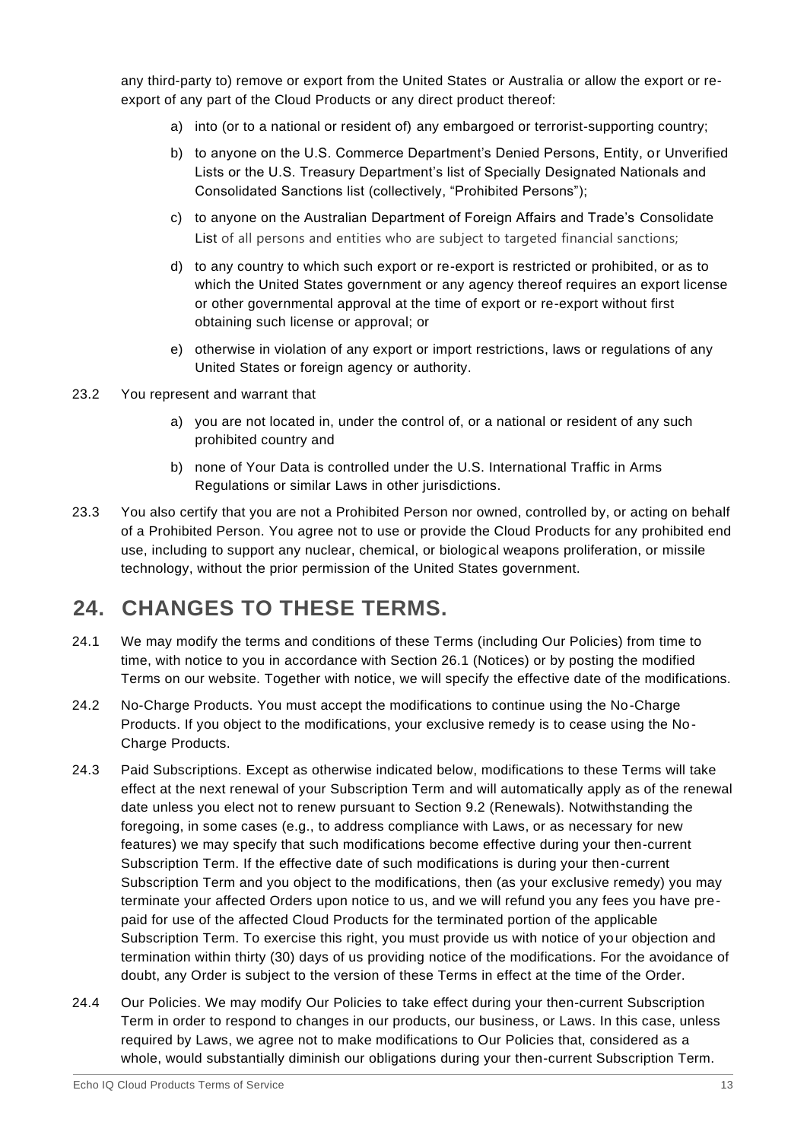any third-party to) remove or export from the United States or Australia or allow the export or reexport of any part of the Cloud Products or any direct product thereof:

- a) into (or to a national or resident of) any embargoed or terrorist-supporting country;
- b) to anyone on the U.S. Commerce Department's Denied Persons, Entity, or Unverified Lists or the U.S. Treasury Department's list of Specially Designated Nationals and Consolidated Sanctions list (collectively, "Prohibited Persons");
- c) to anyone on the Australian Department of Foreign Affairs and Trade's Consolidate List of all persons and entities who are subject to targeted financial sanctions;
- d) to any country to which such export or re-export is restricted or prohibited, or as to which the United States government or any agency thereof requires an export license or other governmental approval at the time of export or re-export without first obtaining such license or approval; or
- e) otherwise in violation of any export or import restrictions, laws or regulations of any United States or foreign agency or authority.
- 23.2 You represent and warrant that
	- a) you are not located in, under the control of, or a national or resident of any such prohibited country and
	- b) none of Your Data is controlled under the U.S. International Traffic in Arms Regulations or similar Laws in other jurisdictions.
- 23.3 You also certify that you are not a Prohibited Person nor owned, controlled by, or acting on behalf of a Prohibited Person. You agree not to use or provide the Cloud Products for any prohibited end use, including to support any nuclear, chemical, or biological weapons proliferation, or missile technology, without the prior permission of the United States government.

#### **24. CHANGES TO THESE TERMS.**

- 24.1 We may modify the terms and conditions of these Terms (including Our Policies) from time to time, with notice to you in accordance with Section 26.1 (Notices) or by posting the modified Terms on our website. Together with notice, we will specify the effective date of the modifications.
- 24.2 No-Charge Products. You must accept the modifications to continue using the No-Charge Products. If you object to the modifications, your exclusive remedy is to cease using the No-Charge Products.
- 24.3 Paid Subscriptions. Except as otherwise indicated below, modifications to these Terms will take effect at the next renewal of your Subscription Term and will automatically apply as of the renewal date unless you elect not to renew pursuant to Section 9.2 (Renewals). Notwithstanding the foregoing, in some cases (e.g., to address compliance with Laws, or as necessary for new features) we may specify that such modifications become effective during your then-current Subscription Term. If the effective date of such modifications is during your then-current Subscription Term and you object to the modifications, then (as your exclusive remedy) you may terminate your affected Orders upon notice to us, and we will refund you any fees you have prepaid for use of the affected Cloud Products for the terminated portion of the applicable Subscription Term. To exercise this right, you must provide us with notice of your objection and termination within thirty (30) days of us providing notice of the modifications. For the avoidance of doubt, any Order is subject to the version of these Terms in effect at the time of the Order.
- 24.4 Our Policies. We may modify Our Policies to take effect during your then-current Subscription Term in order to respond to changes in our products, our business, or Laws. In this case, unless required by Laws, we agree not to make modifications to Our Policies that, considered as a whole, would substantially diminish our obligations during your then-current Subscription Term.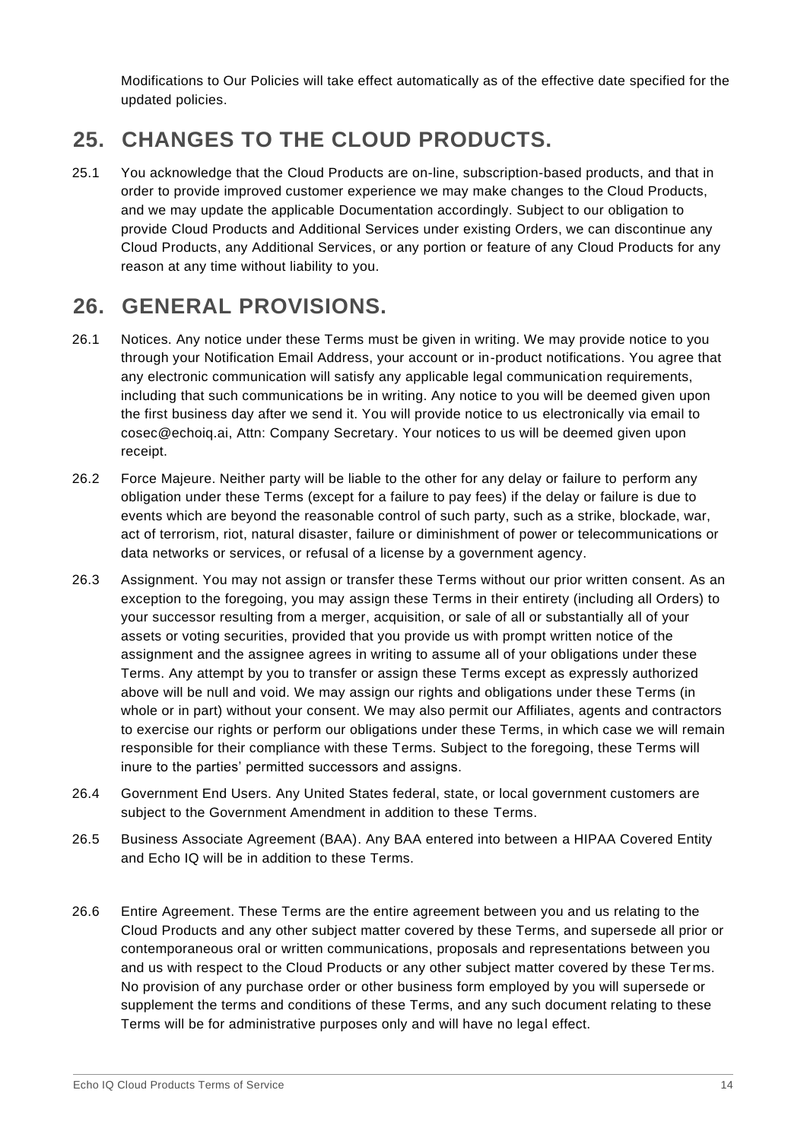Modifications to Our Policies will take effect automatically as of the effective date specified for the updated policies.

#### **25. CHANGES TO THE CLOUD PRODUCTS.**

25.1 You acknowledge that the Cloud Products are on-line, subscription-based products, and that in order to provide improved customer experience we may make changes to the Cloud Products, and we may update the applicable Documentation accordingly. Subject to our obligation to provide Cloud Products and Additional Services under existing Orders, we can discontinue any Cloud Products, any Additional Services, or any portion or feature of any Cloud Products for any reason at any time without liability to you.

## **26. GENERAL PROVISIONS.**

- 26.1 Notices. Any notice under these Terms must be given in writing. We may provide notice to you through your Notification Email Address, your account or in-product notifications. You agree that any electronic communication will satisfy any applicable legal communication requirements, including that such communications be in writing. Any notice to you will be deemed given upon the first business day after we send it. You will provide notice to us electronically via email to cosec@echoiq.ai, Attn: Company Secretary. Your notices to us will be deemed given upon receipt.
- 26.2 Force Majeure. Neither party will be liable to the other for any delay or failure to perform any obligation under these Terms (except for a failure to pay fees) if the delay or failure is due to events which are beyond the reasonable control of such party, such as a strike, blockade, war, act of terrorism, riot, natural disaster, failure or diminishment of power or telecommunications or data networks or services, or refusal of a license by a government agency.
- 26.3 Assignment. You may not assign or transfer these Terms without our prior written consent. As an exception to the foregoing, you may assign these Terms in their entirety (including all Orders) to your successor resulting from a merger, acquisition, or sale of all or substantially all of your assets or voting securities, provided that you provide us with prompt written notice of the assignment and the assignee agrees in writing to assume all of your obligations under these Terms. Any attempt by you to transfer or assign these Terms except as expressly authorized above will be null and void. We may assign our rights and obligations under these Terms (in whole or in part) without your consent. We may also permit our Affiliates, agents and contractors to exercise our rights or perform our obligations under these Terms, in which case we will remain responsible for their compliance with these Terms. Subject to the foregoing, these Terms will inure to the parties' permitted successors and assigns.
- 26.4 Government End Users. Any United States federal, state, or local government customers are subject to the Government Amendment in addition to these Terms.
- 26.5 Business Associate Agreement (BAA). Any BAA entered into between a HIPAA Covered Entity and Echo IQ will be in addition to these Terms.
- 26.6 Entire Agreement. These Terms are the entire agreement between you and us relating to the Cloud Products and any other subject matter covered by these Terms, and supersede all prior or contemporaneous oral or written communications, proposals and representations between you and us with respect to the Cloud Products or any other subject matter covered by these Ter ms. No provision of any purchase order or other business form employed by you will supersede or supplement the terms and conditions of these Terms, and any such document relating to these Terms will be for administrative purposes only and will have no legal effect.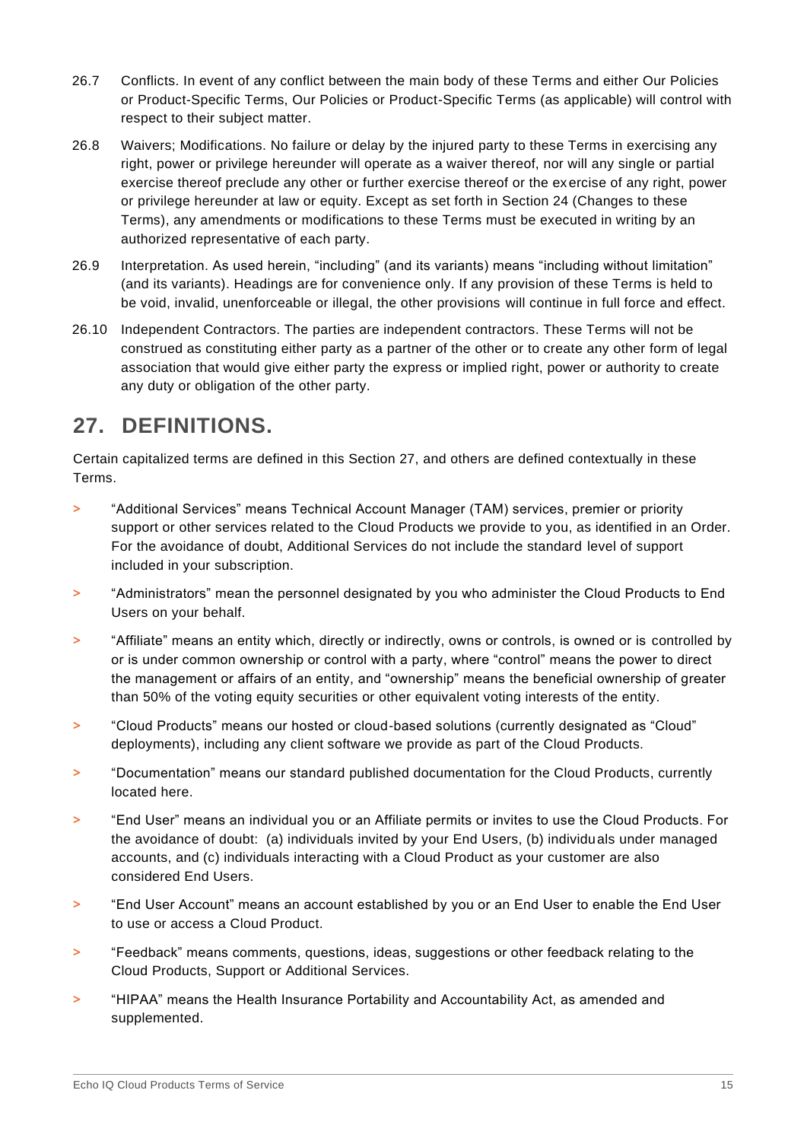- 26.7 Conflicts. In event of any conflict between the main body of these Terms and either Our Policies or Product-Specific Terms, Our Policies or Product-Specific Terms (as applicable) will control with respect to their subject matter.
- 26.8 Waivers; Modifications. No failure or delay by the injured party to these Terms in exercising any right, power or privilege hereunder will operate as a waiver thereof, nor will any single or partial exercise thereof preclude any other or further exercise thereof or the exercise of any right, power or privilege hereunder at law or equity. Except as set forth in Section 24 (Changes to these Terms), any amendments or modifications to these Terms must be executed in writing by an authorized representative of each party.
- 26.9 Interpretation. As used herein, "including" (and its variants) means "including without limitation" (and its variants). Headings are for convenience only. If any provision of these Terms is held to be void, invalid, unenforceable or illegal, the other provisions will continue in full force and effect.
- 26.10 Independent Contractors. The parties are independent contractors. These Terms will not be construed as constituting either party as a partner of the other or to create any other form of legal association that would give either party the express or implied right, power or authority to create any duty or obligation of the other party.

## **27. DEFINITIONS.**

Certain capitalized terms are defined in this Section 27, and others are defined contextually in these Terms.

- **>** "Additional Services" means Technical Account Manager (TAM) services, premier or priority support or other services related to the Cloud Products we provide to you, as identified in an Order. For the avoidance of doubt, Additional Services do not include the standard level of support included in your subscription.
- **>** "Administrators" mean the personnel designated by you who administer the Cloud Products to End Users on your behalf.
- **>** "Affiliate" means an entity which, directly or indirectly, owns or controls, is owned or is controlled by or is under common ownership or control with a party, where "control" means the power to direct the management or affairs of an entity, and "ownership" means the beneficial ownership of greater than 50% of the voting equity securities or other equivalent voting interests of the entity.
- **>** "Cloud Products" means our hosted or cloud-based solutions (currently designated as "Cloud" deployments), including any client software we provide as part of the Cloud Products.
- **>** "Documentation" means our standard published documentation for the Cloud Products, currently located here.
- **>** "End User" means an individual you or an Affiliate permits or invites to use the Cloud Products. For the avoidance of doubt: (a) individuals invited by your End Users, (b) individuals under managed accounts, and (c) individuals interacting with a Cloud Product as your customer are also considered End Users.
- **>** "End User Account" means an account established by you or an End User to enable the End User to use or access a Cloud Product.
- **>** "Feedback" means comments, questions, ideas, suggestions or other feedback relating to the Cloud Products, Support or Additional Services.
- **>** "HIPAA" means the Health Insurance Portability and Accountability Act, as amended and supplemented.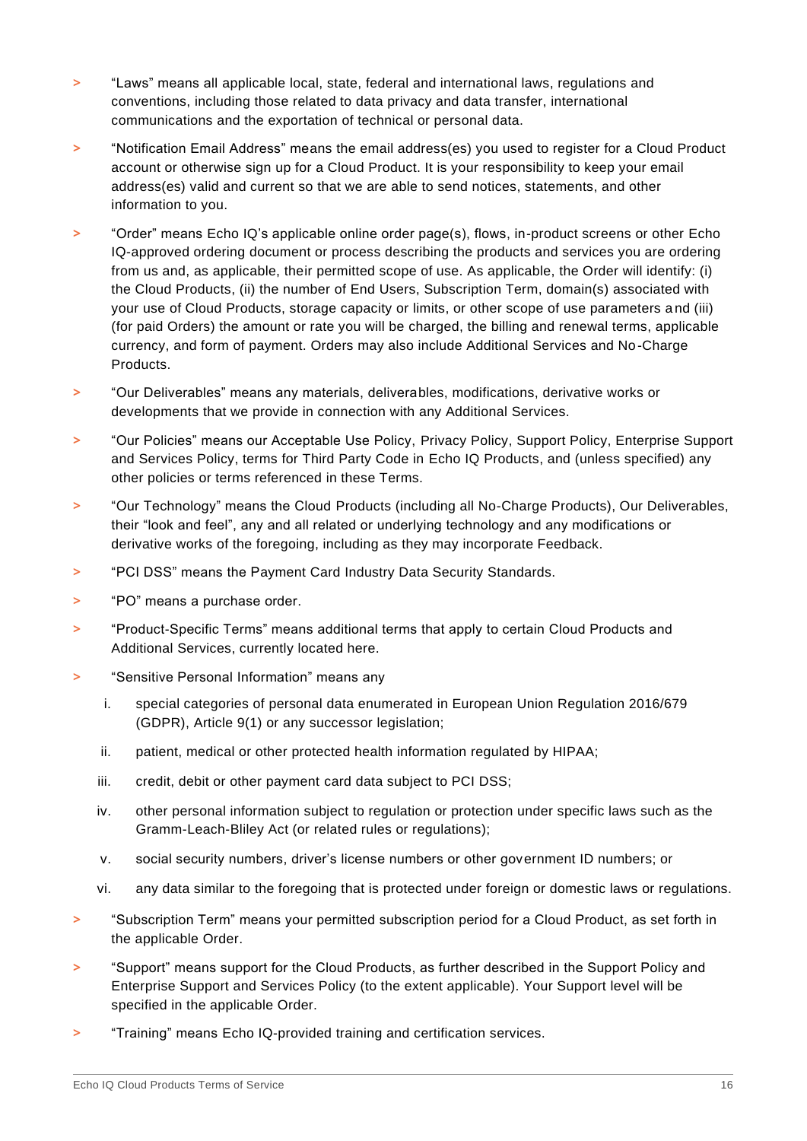- **>** "Laws" means all applicable local, state, federal and international laws, regulations and conventions, including those related to data privacy and data transfer, international communications and the exportation of technical or personal data.
- **>** "Notification Email Address" means the email address(es) you used to register for a Cloud Product account or otherwise sign up for a Cloud Product. It is your responsibility to keep your email address(es) valid and current so that we are able to send notices, statements, and other information to you.
- **>** "Order" means Echo IQ's applicable online order page(s), flows, in-product screens or other Echo IQ-approved ordering document or process describing the products and services you are ordering from us and, as applicable, their permitted scope of use. As applicable, the Order will identify: (i) the Cloud Products, (ii) the number of End Users, Subscription Term, domain(s) associated with your use of Cloud Products, storage capacity or limits, or other scope of use parameters a nd (iii) (for paid Orders) the amount or rate you will be charged, the billing and renewal terms, applicable currency, and form of payment. Orders may also include Additional Services and No-Charge Products.
- **>** "Our Deliverables" means any materials, deliverables, modifications, derivative works or developments that we provide in connection with any Additional Services.
- **>** "Our Policies" means our Acceptable Use Policy, Privacy Policy, Support Policy, Enterprise Support and Services Policy, terms for Third Party Code in Echo IQ Products, and (unless specified) any other policies or terms referenced in these Terms.
- **>** "Our Technology" means the Cloud Products (including all No-Charge Products), Our Deliverables, their "look and feel", any and all related or underlying technology and any modifications or derivative works of the foregoing, including as they may incorporate Feedback.
- **>** "PCI DSS" means the Payment Card Industry Data Security Standards.
- **>** "PO" means a purchase order.
- **>** "Product-Specific Terms" means additional terms that apply to certain Cloud Products and Additional Services, currently located here.
- **>** "Sensitive Personal Information" means any
	- i. special categories of personal data enumerated in European Union Regulation 2016/679 (GDPR), Article 9(1) or any successor legislation;
	- ii. patient, medical or other protected health information regulated by HIPAA;
	- iii. credit, debit or other payment card data subject to PCI DSS;
	- iv. other personal information subject to regulation or protection under specific laws such as the Gramm-Leach-Bliley Act (or related rules or regulations);
	- v. social security numbers, driver's license numbers or other government ID numbers; or
	- vi. any data similar to the foregoing that is protected under foreign or domestic laws or regulations.
- **>** "Subscription Term" means your permitted subscription period for a Cloud Product, as set forth in the applicable Order.
- **>** "Support" means support for the Cloud Products, as further described in the Support Policy and Enterprise Support and Services Policy (to the extent applicable). Your Support level will be specified in the applicable Order.
- **>** "Training" means Echo IQ-provided training and certification services.